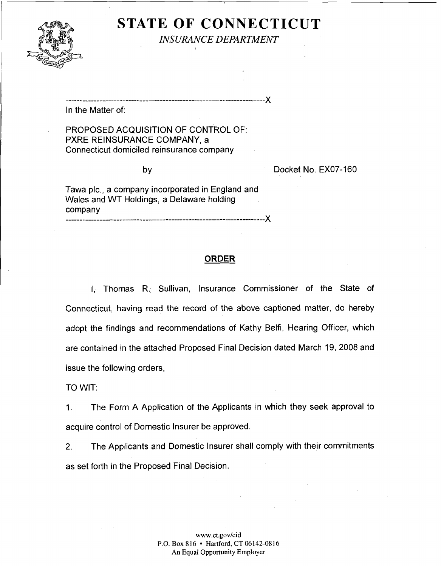

**STATE OF CONNECTICUT** 

*INSURANCE DEPARTMENT* ,

In the Matter of:

PROPOSED ACQUISITION OF CONTROL OF: PXRE REINSURANCE COMPANY, a Connecticut domiciled reinsurance company

...................................................................... X

by Docket No. EX07-160

Tawa plc., a company incorporated in England and Wales and WT Holdings, a Delaware holding company ...................................................................... **X** 

## **ORDER**

I, Thomas R. Sullivan, Insurance Commissioner of the State of Connecticut, having read the record of the above captioned matter, do hereby adopt the findings and recommendations of Kathy Belfi, Hearing Officer, which are contained in the attached Proposed Final Decision dated March 19, 2008 and issue the following orders,

TO WIT:

1. The Form A Application of the Applicants in which they seek approval to acquire control of Domestic lnsurer be approved.

2. The Applicants and Domestic Insurer shall comply with their commitments as set forth in the Proposed Final Decision.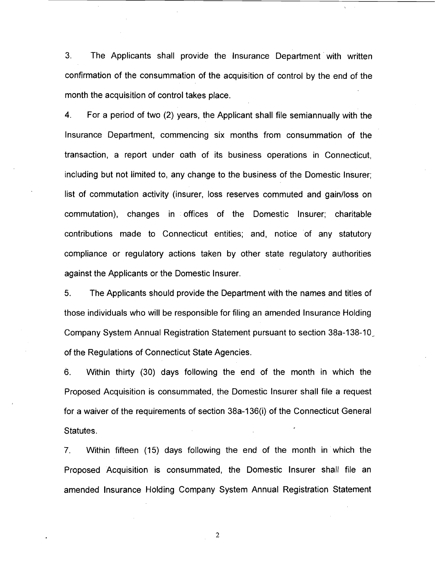3. The Applicants shall provide the lnsurance Department with written confirmation of the consummation of the acquisition of control by the end of the month the acquisition of control takes place.

4. For a period of two (2) years, the Applicant shall file semiannually with the lnsurance Department, commencing six months from consummation of the transaction, a report under oath of its business operations in Connecticut, including but not limited to, any change to the business of the Domestic Insurer; list of commutation activity (insurer, loss reserves commuted and gainlloss on commutation), changes in offices of the Domestic Insurer; charitable contributions made to Connecticut entities; and, notice of any statutory compliance or regulatory actions taken by other state regulatory authorities against the Applicants or the Domestic Insurer.

5. The Applicants should provide the Department with the names and titles of those individuals who will be responsible for filing an amended lnsurance Holding Company System Annual Registration Statement pursuant to section 38a-138-10\_ of the Regulations of Connecticut State Agencies.

6. Within thirty (30) days following the end of the month in which the Proposed Acquisition is consummated, the Domestic lnsurer shall file a request for a waiver of the requirements of section 38a-136(i) of the Connecticut General Statutes.

7. Within fifteen (15) days following the end of the month in which the Proposed Acquisition is consummated, the Domestic lnsurer shall file an amended lnsurance Holding Company System Annual Registration Statement

 $\boldsymbol{2}$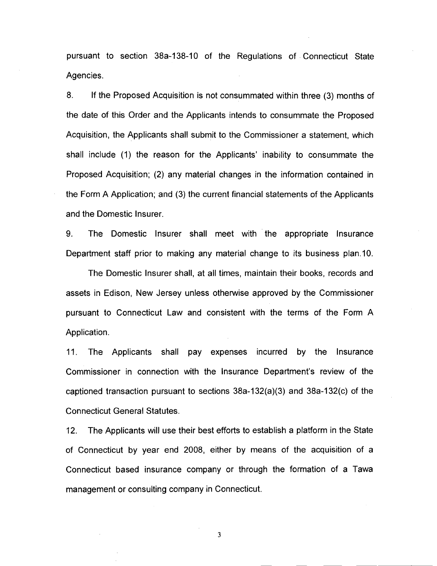pursuant to section 38a-138-10 of the Regulations of Connecticut State Agencies.

8. If the Proposed Acquisition is not consummated within three (3) months of the date of this Order and the Applicants intends to consummate the Proposed Acquisition, the Applicants shall submit to the Commissioner a statement, which shall include (1) the reason for the Applicants' inability to consummate the Proposed Acquisition; (2) any material changes in the information contained in the Form A Application; and (3) the current financial statements of the Applicants and the Domestic Insurer.

9. The Domestic lnsurer shall meet with the appropriate lnsurance Department staff prior to making any material change to its business plan.10.

The Domestic lnsurer shall, at all times, maintain their books, records and assets in Edison, New Jersey unless otherwise approved by the Commissioner pursuant to Connecticut Law and consistent with the terms of the Form A Application.

11. The Applicants shall pay expenses incurred by the lnsurance Commissioner in connection with the Insurance Department's review of the captioned transaction pursuant to sections 38a-132(a)(3) and 38a-132(c) of the Connecticut General Statutes.

12. The Applicants will use their best efforts to establish a platform in the State of Connecticut by year end 2008, either by means of the acquisition of a Connecticut based insurance company or through the formation of a Tawa management or consulting company in Connecticut.

 $\mathbf{3}$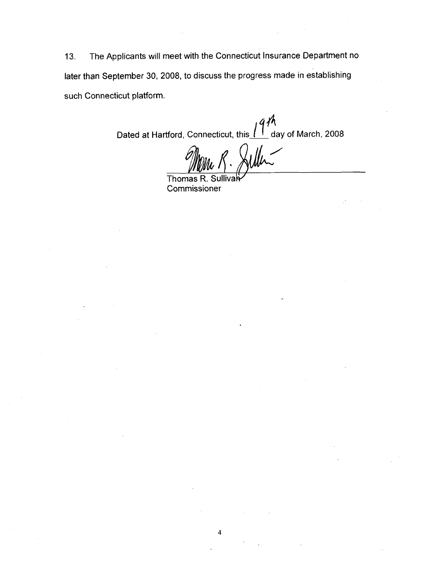13. The Applicants will meet with the Connecticut Insurance Department no later than September 30, 2008, to discuss the progress made in establishing such Connecticut platform.

Dated at Hartford, Connecticut, this  $1^{q}\frac{\hbar}{\hbar}$  day of March, 2008

Thomas R. Sullivar **Commissioner**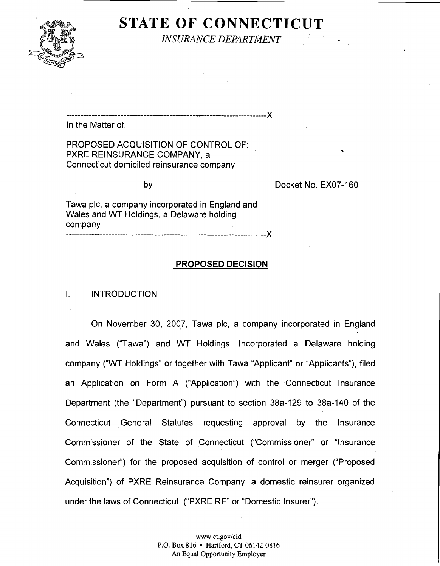

# **STATE OF CONNECTICUT**

*INSURANCE DEPARTMENT* 

...................................................................... X

In the Matter of:

PROPOSED ACQUISITION OF CONTROL OF: PXRE REINSURANCE COMPANY, a Connecticut domiciled reinsurance company

by Docket No. EX07-160

Tawa plc, a company incorporated in England and Wales and WT Holdings, a Delaware holding company ...................................................................... X

### PROPOSED DECISION

#### $\mathbf{L}$ **INTRODUCTION**

On November 30, 2007, Tawa plc, a company incorporated in England and Wales ("Tawa") and WT Holdings, Incorporated a Delaware holding company ("WT Holdings" or together with Tawa "Applicant" or "Applicants"), filed an Application on Form A ("Application") with the Connecticut lnsurance Department (the "Department") pursuant to section 38a-129 to 38a-140 of the Connecticut General Statutes requesting approval by the lnsurance Commissioner of the State of Connecticut ("Commissioner" or "lnsurance Commissioner") for the proposed acquisition of control or merger ("Proposed Acquisition") of PXRE Reinsurance Company, a domestic reinsurer organized under the laws of Connecticut ("PXRE RE" or "Domestic Insurer").

> www .ct.gov/cid P.O. Box 816 • Hartford, CT 06142-0816 An Equal Opportunity Employer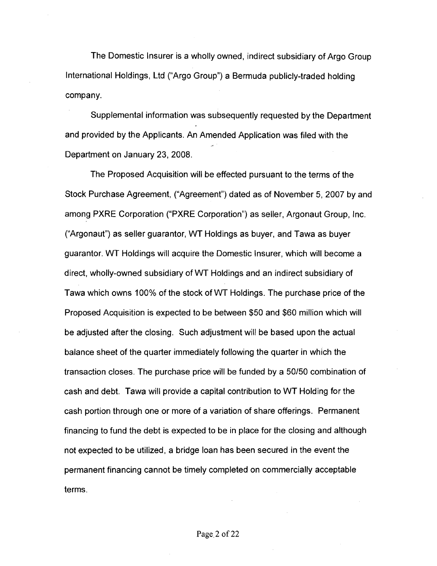The Domestic Insurer is a wholly owned, indirect subsidiary of Argo Group International Holdings, Ltd ("Argo Group") a Bermuda publicly-traded holding company.

Supplemental information was subsequently requested by the Department and provided by the Applicants. An Amended Application was filed with the and Department on January 23, 2008.

The Proposed Acquisition will be effected pursuant to the terms of the Stock Purchase Agreement, ("Agreement") dated as of November 5,2007 by and among PXRE Corporation ("PXRE Corporation") as seller, Argonaut Group, Inc. ("Argonaut") as seller guarantor, WT Holdings as buyer, and Tawa as buyer guarantor. WT Holdings will acquire the Domestic Insurer, which will become a direct, wholly-owned subsidiary of WT Holdings and an indirect subsidiary of Tawa which owns 100% of the stock of WT Holdings. The purchase price of the Proposed Acquisition is expected to be between \$50 and \$60 million which will be adjusted after the closing. Such adjustment will be based upon the actual balance sheet of the quarter immediately following the quarter in which the transaction closes. The purchase price will be funded by a 50150 combination of cash and debt. Tawa will provide a capital contribution to WT Holding for the cash portion through one or more of a variation of share offerings. Permanent financing to fund the debt is expected to be in place for the closing and although not expected to be utilized, a bridge loan has been secured in the event the permanent financing cannot be timely completed on commercially acceptable terms.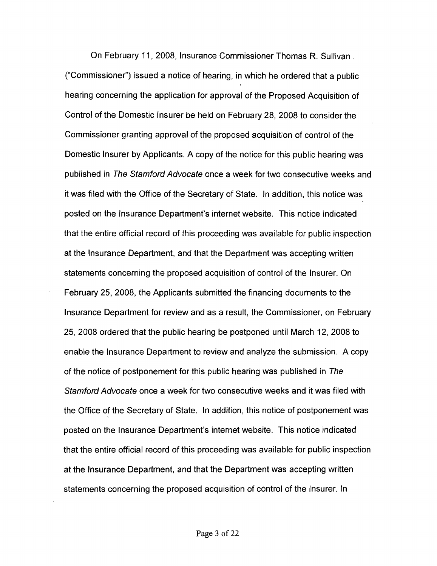On February 11, 2008, Insurance Commissioner Thomas R. Sullivan. ("Commissioner") issued a notice of hearing, in which he ordered that a public hearing concerning the application for approval of the Proposed Acquisition of Control of the Domestic Insurer be held on February 28, 2008 to consider the Commissioner granting approval of the proposed acquisition of control of the Domestic Insurer by Applicants. A copy of the notice for this public hearing was published in The Stamford Advocate once a week for two consecutive weeks and it was filed with the Office of the Secretary of State. In addition, this notice was posted on the lnsurance Department's internet website. This notice indicated that the entire official record of this proceeding was available for public inspection at the lnsurance Department, and that the Department was accepting written statements concerning the proposed acquisition of control of the Insurer. On February 25, 2008, the Applicants submitted the financing documents to the lnsurance Department for review and as a result, the Commissioner, on February 25, 2008 ordered that the public hearing be postponed until March 12, 2008 to enable the lnsurance Department to review and analyze the submission. A copy of the notice of postponement for this public hearing was published in The Stamford Advocate once a week for two consecutive weeks and it was filed with the Office of the Secretary of State. In addition, this notice of postponement was posted on the lnsurance Department's internet website. This notice indicated that the entire official record of this proceeding was available for public inspection at the Insurance Department, and that the Department was accepting written statements concerning the proposed acquisition of control of the Insurer. In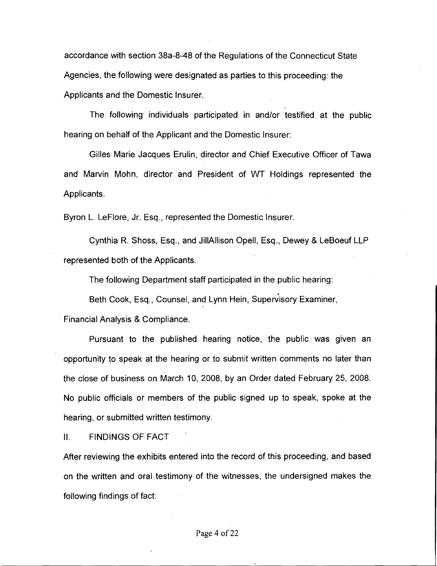accordance with section 38a-8-48 of the Regulations of the Connecticut State Agencies, the following were designated as parties to this proceeding: the Applicants and the Domestic Insurer.

The following individuals participated in and/or testified at the public hearing on behalf of the Applicant and the Domestic Insurer:

Gilles Marie Jacques Erulin, director and Chief Executive Officer of Tawa and Marvin Mohn, director and President of WT Holdings represented the Applicants.

Byron L. LeFlore, Jr. Esq., represented the Domestic Insurer.

Cynthia R. Shoss, Esq., and JillAllison Opell, Esq., Dewey & LeBoeuf LLP represented both of the Applicants.

The following Department staff participated in the public hearing:

Beth Cook, Esq., Counsel, and Lynn Hein, Supervisory Examiner,

Financial Analysis & Compliance.

Pursuant to the published hearing notice, the public was given an opportunity to speak at the hearing or to submit written comments no later than the close of business on March 10, 2008, by an Order dated February 25, 2008. No public officials or members of the public signed up to speak, spoke at the hearing, or submitted written testimony.

II. FINDINGS OF FACT

After reviewing the exhibits entered into the record of this proceeding, and based on the written and oral testimony of the witnesses, the undersigned makes the following findings of fact: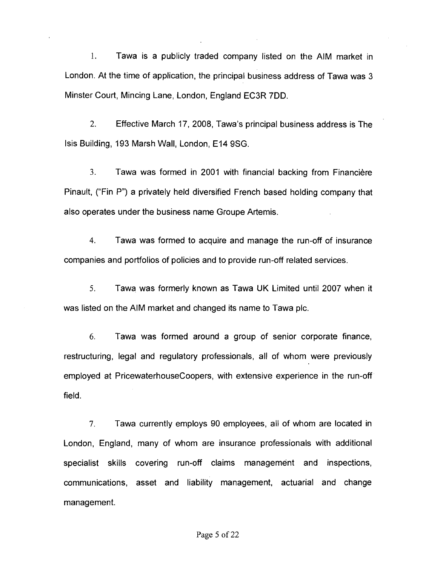1. Tawa is a publicly traded company listed on the AIM market in London. At the time of application, the principal business address of Tawa was 3 Minster Court, Mincing Lane, London, England EC3R 7DD.

2. Effective March 17, 2008, Tawa's principal business address is The lsis Building, 193 Marsh Wall, London, El4 9SG.

**3.** Tawa was formed in 2001 with financial backing from Financiere Pinault, ("Fin P") a privately held diversified French based holding company that also operates under the business name Groupe Artemis.

4. Tawa was formed to acquire and manage the run-off of insurance companies and portfolios of policies and to provide run-off related services.

**5.** Tawa was formerly known as Tawa UK Limited until 2007 when it was listed on the AIM market and changed its name to Tawa pic.

*6.* Tawa was formed around a group of senior corporate finance, restructuring, legal and regulatory professionals, all of whom were previously employed at PricewaterhouseCoopers, with extensive experience in the run-off field.

7. Tawa currently employs 90 employees, all of whom are located in London, England, many of whom are insurance professionals with additional specialist skills covering run-off claims management and inspections, communications, asset and liability management, actuarial and change management.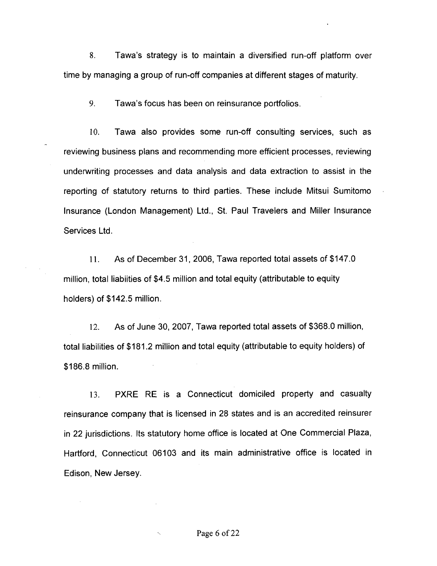**8.** Tawa's strategy is to maintain a diversified run-off platform over time by managing a group of run-off companies at different stages of maturity.

**9.** Tawa's focus has been on reinsurance portfolios.

10. Tawa also provides some run-off consulting services, such as reviewing business plans and recommending more efficient processes, reviewing underwriting processes and data analysis and data extraction to assist in the reporting of statutory returns to third parties. These include Mitsui Sumitomo Insurance (London Management) Ltd., St. Paul Travelers and Miller Insurance Services Ltd

11. As of December 31, 2006, Tawa reported total assets of \$147.0 million, total liabiities of \$4.5 million and total equity (attributable to equity holders) of \$142.5 million.

12. As of June 30, 2007, Tawa reported total assets of \$368.0 million, total liabilities of \$181.2 million and total equity (attributable to equity holders) of \$186.8 million.

13. PXRE RE is a Connecticut domiciled property and casualty reinsurance company that is licensed in 28 states and is an accredited reinsurer in 22 jurisdictions. Its statutory home office is located at One Commercial Plaza, Hartford, Connecticut 06103 and its main administrative office is located in Edison, New Jersey.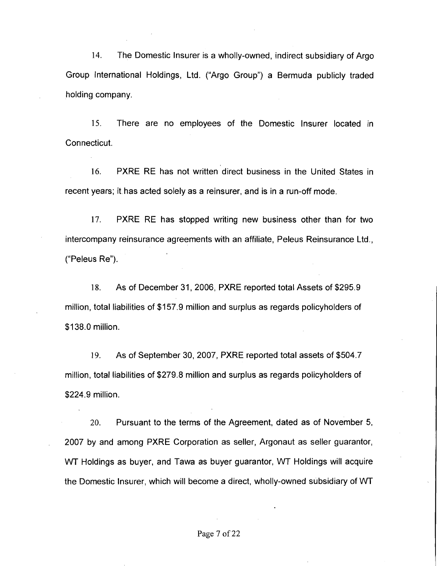14. The Domestic lnsurer is a wholly-owned, indirect subsidiary of Argo Group International Holdings, Ltd. ("Argo Group") a Bermuda publicly traded holding company.

15. There are no employees of the Domestic lnsurer located in Connecticut.

16. PXRE RE has not written direct business in the United States in recent years; it. has acted solely as a reinsurer, and is in a run-off mode.

17. PXRE RE has stopped writing new business other than for two intercompany reinsurance agreements with an affiliate, Peleus Reinsurance Ltd., ("Peleus Re").

18. As of December 31, 2006, PXRE reported total Assets of \$295.9 million, total liabilities of \$157.9 million and surplus as regards policyholders of \$1 38.0 million.

19. As of September 30, 2007, PXRE reported total assets of \$504.7 million, total liabilities of \$279.8 million and surplus as regards policyholders of \$224.9 million.

20. Pursuant to the terms of the Agreement, dated as of November 5, 2007 by and among PXRE Corporation as seller, Argonaut as seller guarantor, WT Holdings as buyer, and Tawa as buyer guarantor, WT Holdings will acquire the Domestic Insurer, which will become a direct, wholly-owned subsidiary of WT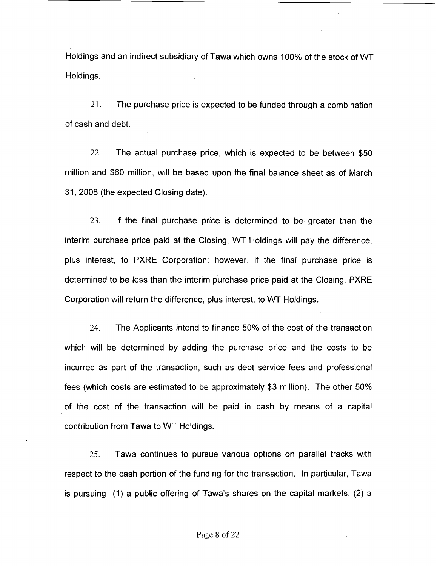Holdings and an indirect subsidiary of Tawa which owns 100% of the stock of WT Holdings.

21. The purchase price is expected to be funded through a combination of cash and debt.

22. The actual purchase price, which is expected to be between \$50 million and \$60 million, will be based upon the final balance sheet as of March 31, 2008 (the expected Closing date).

23. If the final purchase price is determined to be greater than the interim purchase price paid at the Closing, WT Holdings will pay the difference, plus interest, to PXRE Corporation; however, if the final purchase price is deterrrlined to be less than the interim purchase price paid at the Closing, **PXRE**  Corporation will return the difference, plus interest, to WT Holdings.

24. The Applicants intend to finance 50% of the cost of the transaction which will be determined by adding the purchase price and the costs to be incurred as part of the transaction, such as debt service fees and professional fees (which costs are estimated to be approximately \$3 million). The other 50% of the cost of the transaction will be paid in cash by means of a capital contribution from Tawa to WT Holdings.

*25.* Tawa continues to pursue various options on parallel tracks with respect to the cash portion of the funding for the transaction. In particular, Tawa is pursuing (1) a public offering of Tawa's shares on the capital markets, (2) a

#### Page **8** of 22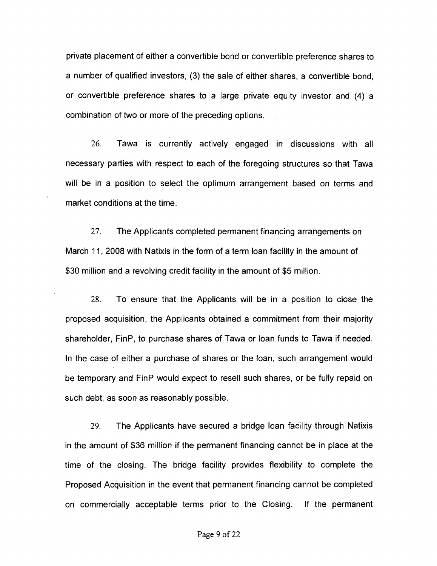private placement of either a convertible bond or convertible preference shares to a number of qualified investors, (3) the sale of either shares, a convertible bond, or convertible preference shares to a large private equity investor and **(4)** a combination of two or more of the preceding options.

26. Tawa is currerrtly actively engaged in discussions with all necessary parties with respect to each of the foregoing structures so that Tawa will be in a position to select the optimum arrangement based on terms and market conditions at the time.

27. The Applicants completed permanent financing arrangements on March 11, 2008 with Natixis in the form of a term loan facility in the amount of \$30 million and a revolving credit facility in the amount of \$5 million.

28. To ensure that the Applicants will be in a position to close the proposed acquisition, the Applicants obtained a commitment from their majority shareholder, FinP, to purchase shares of Tawa or loan funds to Tawa if needed. In the case of either a purchase of shares or the loan, such arrangement would be temporary and FinP would expect to resell such shares, or be fully repaid on such debt, as soon as reasonably possible.

29. The Applicants have secured a bridge loan facility through Natixis in the amount of \$36 million if the permanent financing cannot be in place at the time of the closing. The bridge facility provides flexibility to complete the Proposed Acquisition in the event that permanent financing cannot be completed on commercially acceptable terms prior to the Closing. If the permanent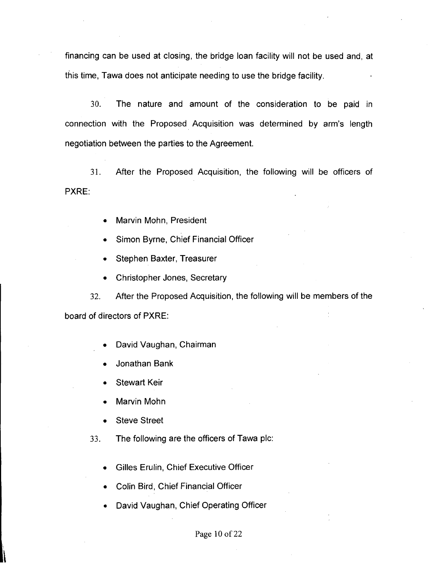financing can be used at closing, the bridge loan facility will not be used and, at this time, Tawa does not anticipate needing to use the bridge facility.

30. The nature and amount of the consideration to be paid in connection with the Proposed Acquisition was determined by arm's length negotiation between the parties to the Agreement.

31. After the Proposed Acquisition, the following will be officers of PXRE:

- Marvin Mohn, President
- Simon Byrne, Chief Financial Officer
- Stephen Baxter, Treasurer
- Christopher Jones, Secretary  $\bullet$

32. After the Proposed Acquisition, the following will be members of the board of directors of PXRE:

- David Vaughan, Chairman
- Jonathan Bank
- Stewart Keir
- Marvin Mohn
- **Steve Street**
- 33. The following are the officers of Tawa plc:
	- Gilles Erulin, Chief Executive Officer
	- Colin Bird, Chief Financial Officer
	- David Vaughan, Chief Operating Officer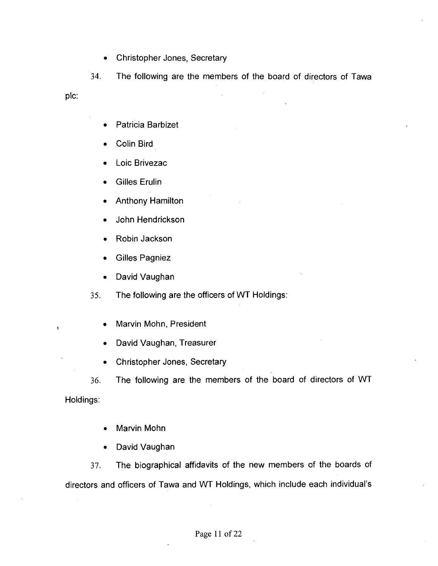Christopher Jones, Secretary  $\bullet$ 

34. The following are the members of the board of directors of Tawa plc:

- Patricia Barbizet  $\bullet$
- Colin Bird
- Loic Brivezac
- Gilles Erulin
- Anthony Hamilton
- John Hendrickson
- Robin Jackson
- Gilles Pagniez
- David Vaughan  $\bullet$

The following are the officers of WT Holdings: 35.

- **IWARK**, **IMarvin Mohn, President** 
	- David Vaughan, Treasurer
	- Christopher Jones, Secretary
	- **36.** The following are the members of the board of directors of WT

Holdings:

- Marvin Mohn
- David Vaughan

37. The biographical affidavits of the new members of the boards of directors and officers of Tawa and WT Holdings, which include each individual's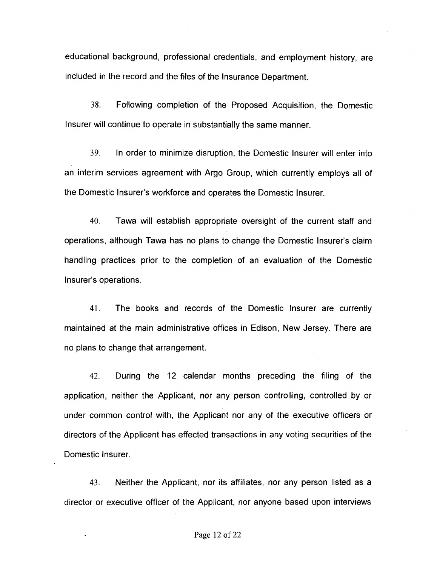educational background, professional credentials, and employment history, are included in the record and the files of the Insurance Department.

38. Following completion of the Proposed Acquisition, the Domestic Insurer will continue to operate in substantially the same manner.

39. In order to minimize disruption, the Domestic lnsurer will enter into an interim services agreement with Argo Group, which currently employs all of the Domestic Insurer's workforce and operates the Domestic Insurer.

40. Tawa will establish appropriate oversight of the current staff and operations, although Tawa has no plans to change the Domestic Insurer's claim handling practices prior to the completion of an evaluation of the Domestic Insurer's operations.

41. The books and records of the Domestic lnsurer are currently maintained at the main administrative offices in Edison, New Jersey. There are no plans to change that arrangement.

42. During the 12 calendar months preceding the filing of the application, neither the Applicant, nor any person controlling, controlled by or under common control with, the Applicant nor any of the executive officers or directors of the Applicant has effected transactions in any voting securities of the Domestic Insurer.

43. Neither the Applicant, nor its affiliates, nor any person listed as a director or executive officer of the Applicant, nor anyone based upon interviews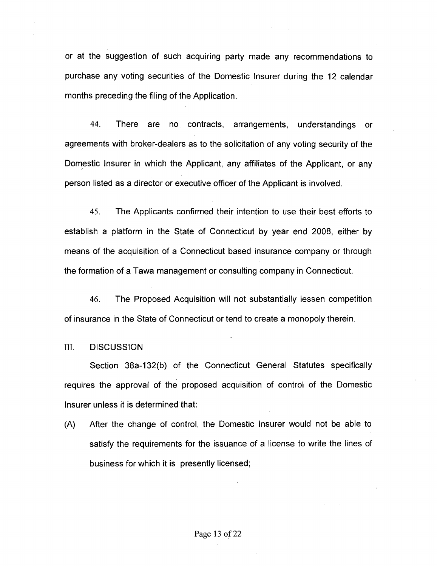or at the suggestion of such acquiring party made any recommendations to purchase any voting securities of the Domestic Insurer during the 12 calendar months preceding the fling of the Application.

44. There are no contracts, arrangements, understandings or agreements with broker-dealers as to the solicitation of any voting security of the Domestic lnsurer in which the Applicant, any affiliates of the Applicant, or any person listed as a director or executive officer of the Applicant is involved.

45. The Applicants confirmed their intention to use their best efforts to establish a platform in the State of Connecticut by year end 2008, either by means of the acquisition of a Connecticut based insurance company or through the formation of a Tawa management or consulting company in Connecticut.

46. The Proposed Acquisition will not substantially lessen competition of insurance in the State of Connecticut or tend to create a monopoly therein.

#### 111. DISCUSSION

Section 38a-132(b) of the Connecticut General Statutes specifically requires the approval of the proposed acquisition of control of the Domestic lnsurer unless it is determined that:

(A) After the change of control, the Domestic lnsurer would not be able to satisfy the requirements for the issuance of a license to write the lines of business for which it is presently licensed;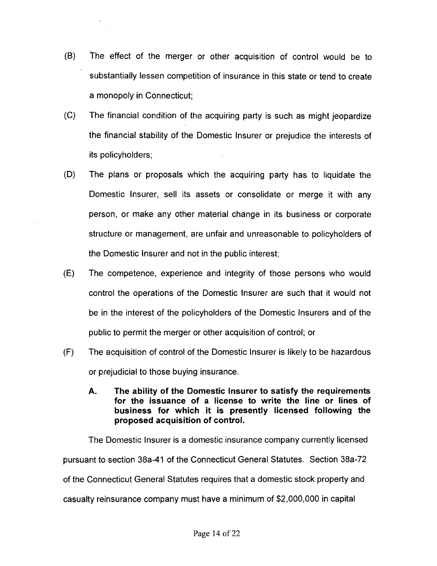- (B) fhe effect of the merger or other acquisition of control would be to substantially lessen competition of insurance in this state or tend to create a monopoly in Connecticut;
- (C) The financial condition of the acquiring party is such as might jeopardize the financial stability of the Domestic lnsurer or prejudice the interests of its policyholders;
- (D) The plans or proposals which the acquiring party has to liquidate the Domestic Insurer, sell its assets or consolidate or merge it with any person, or make any other material change in its business or corporate structure or management, are unfair and unreasonable to policyholders of the Domestic lnsurer and not in the public interest;
- (E) The competence, experience and integrity of those persons who would control the operations of the Domestic lnsurer are such that it would not be in the interest of the policyholders of the Domestic Insurers and of the public to permit the merger or other acquisition of control; or
- (F) The acquisition of control of the Domestic lnsurer is likely to be hazardous or prejudicial to those buying insurance.
	- **A. The ability of the Domestic lnsurer to satisfy the requirements for the issuance of a license to write the line or lines of business for which .it is presently licensed following the proposed acquisition of control.**

The Domestic Insurer is a domestic insurance company currently licensed pursuant to section 38a-41 of the Connecticut General Statutes. Section 38a-72 of the Connecticut General Statutes requires that a domestic stock property and casualty reinsurance company must have a minimum of \$2,000,000 in capital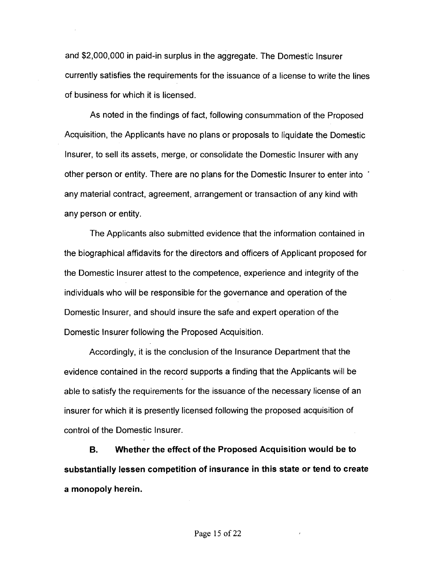and \$2,000,000 in paid-in surplus in the aggregate. The Domestic Insurer currently satisfies the requirements for the issuance of a license to write the lines of business for which it is licensed.

As noted in the findings of fact, following consummation of the Proposed Acquisition, the Applicants have no plans or proposals to liquidate the Domestic Insurer, to sell its assets, merge, or consolidate the Domestic lnsurer with any other person or entity. There are no plans for the Domestic lnsurer to enter into ' any material contract, agreement, arrangement or transaction of any kind with any person or entity.

The Applicants also submitted evidence that the information contained in the biographical affidavits for the directors and officers of Applicant proposed for the Domestic lnsurer attest to the competence, experience and integrity of the individuals who will be responsible for the governance and operation of the Domestic Insurer, and should insure the safe and expert operation of the Domestic Insurer following the Proposed Acquisition.

Accordingly, it is the conclusion of the Insurance Department that the evidence contained in the record supports a finding that the Applicants will be able to satisfy the requirements for the issuance of the necessary license of an insurer for which it is presently licensed following the proposed acquisition of control of the Domestic Insurer.

**B. Whether the effect of the Proposed Acquisition would be to substantially lessen competition of insurance in this state or tend to create a monopoly herein.**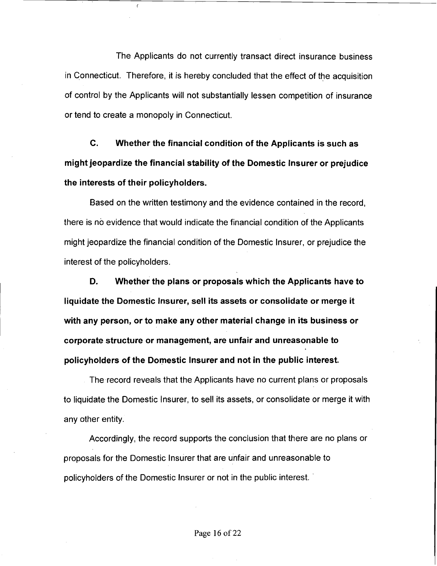The Applicants do not currently transact direct insurance business in Connecticut. Therefore, it is hereby concluded that the effect of the acquisition of control by the Applicants will not substantially lessen competition of insurance or tend to create a monopoly in Connecticut.

**C.** Whether the financial condition of the Applicants is such as might jeopardize the financial stability of the Domestic lnsurer or prejudice the interests of their policyholders.

Based on the written testimony and the evidence contained in the record, there is no evidence that would indicate the financial condition of the Applicants might jeopardize the financial condition of the Domestic Insurer, or prejudice the interest of the policyholders.

D. Whether the plans or proposals which the Applicants have to liquidate the Domestic Insurer, sell its assets or consolidate or merge it with any person, or to make any other material change in its business or corporate structure or management, are unfair and unreasonable to policyholders of the Domestic lnsurer and not in the public interest.

The record reveals that the Applicants have no current plans or proposals to liquidate the Domestic Insurer, to sell its assets, or consolidate or merge it with any other entity.

Accordingly, the record supports the conclusion that there are no plans or proposals for the Domestic lnsurer that are unfair and unreasonable to policyholders of the Domestic lnsurer or not in the public interest. '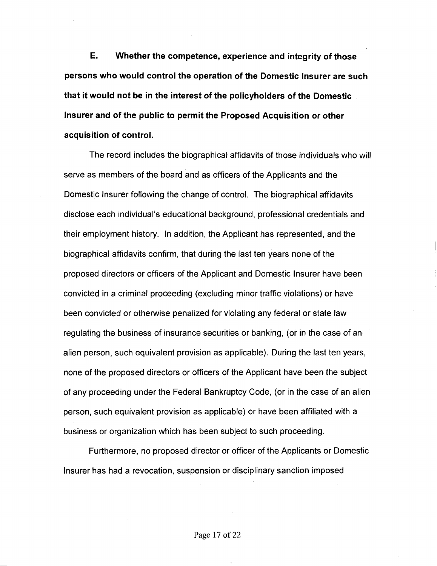**E. Whether the competence, experience and integrity of those persons who would control the operation of the Domestic lnsurer are such that it would not be in the interest of the policyholders of the Domestic lnsurer and of the public to permit the Proposed Acquisition or other acquisition of control.** 

The record includes the biographical affidavits of those individuals who will serve as members of the board and as officers of the Applicants and the Domestic lnsurer following the change of control. The biographical affidavits disclose each individual's educational background, professional credentials and their employment history. In addition, the Applicant has represented, and the biographical affidavits confirm, that during the last ten years none of the proposed directors or officers of the Applicant and Domestic lnsurer have been convicted in a criminal proceeding (excluding minor traffic violations) or have been convicted or otherwise penalized for violating any federal or state law regulating the business of insurance securities or banking, (or in the case of an alien person, such equivalent provision as applicable). During the last ten years, none of the proposed directors or officers of the Applicant have been the subject of any proceeding under the Federal Bankruptcy Code, (or in the case of an alien person, such equivalent provision as applicable) or have been affiliated with a business or organization which has been subject to such proceeding.

Furthermore, no proposed director or officer of the Applicants or Domestic lnsurer has had a revocation, suspension or disciplinary sanction imposed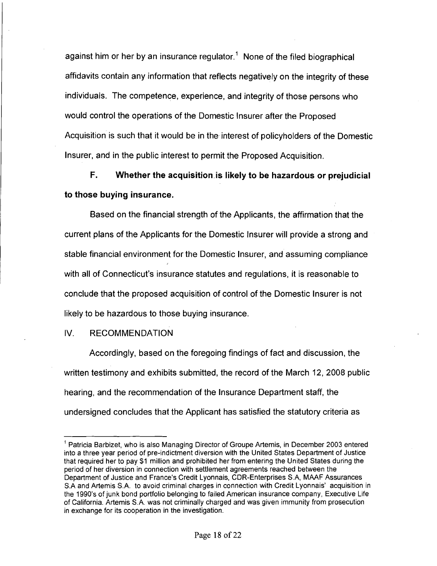against him or her by an insurance regulator.<sup>1</sup> None of the filed biographical affidavits contain any information that reflects negatively on the integrity of these individuals. The competence, experience, and integrity of those persons who would control the operations of the Domestic lnsurer after the Proposed Acquisition is such that it would be in the interest of policyholders of the Domestic Insurer, and in the public interest to permit the Proposed Acquisition.

**F. Whether the acquisition is likely to be hazardous or prejudicial to those buying insurance.** 

Based on the financial strength of the Applicants, the affirmation that the current plans of the Applicants for the Domestic lnsurer will provide a strong and stable financial environment for the Domestic Insurer, and assuming compliance with all of Connecticut's insurance statutes and regulations, it is reasonable to conclude that the proposed acquisition of control of the Domestic lnsurer is not likely to be hazardous to those buying insurance.

IV. RECOMMENDATION

Accordingly, based on the foregoing findings of fact and discussion, the written testimony and exhibits submitted, the record of the March 12, 2008 public hearing, and the recommendation of the Insurance Department staff, the undersigned concludes that the Applicant has satisfied the statutory criteria as Maring, and the recommended<br>Intersigned concludes that<br>Maricia Barbizet, who is also Ma

<sup>&#</sup>x27; Patricia Barbizet, who is also Managing Director of Groupe Artemis, in December 2003 entered into a three year period of pre-indictment diversion with the United States Department of Justice that required her to pay \$1 million and prohibited her from entering the United States during the period of her diversion in connection with settlement agreements reached between the Department of Justice and France's Credit Lyonnais, CDR-Enterprises S.A, MAAF Assurances S.A and Artemis S.A. to avoid criminal charges in connection with Credit Lyonnais' acquisition in the 1990's of junk bond portfolio belonging to failed American insurance company, Executive Life of California. Artemis S.A. was not criminally charged and was given immunity from prosecution in exchange for its cooperation in the investigation.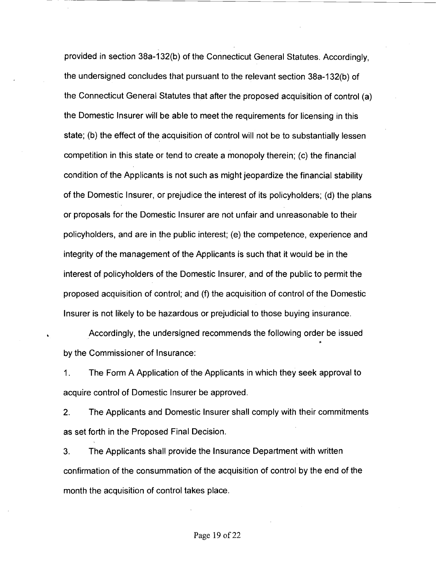provided in section 38a-132(b) of the Connecticut General Statutes. Accordingly, the undersigned concludes that pursuant to the relevant section 38a-132(b) of the Connecticut General Statutes that after the proposed acquisition of control (a) the Domestic lnsurer will be able to meet the requirements for licensing in this state; (b) the effect of the acquisition of control will not be to substantially lessen competition in this state or tend to create a monopoly therein; (c) the financial condition of the Applicants is not such as might jeopardize the financial stability of the Domestic Insurer, or prejudice the interest of its policyholders; (d) the plans or proposals for the Domestic lnsurer are not unfair and unreasonable to their policyholders, and are in the public interest; (e) the competence, experience and integrity of the management of the Applicants is such that it would be in the interest of policyholders of the Domestic Insurer, and of the public to permit the proposed acquisition of control; and (f) the acquisition of control of the Domestic lnsurer is not likely to be hazardous or prejudicial to those buying insurance.

**L** Accordingly, the undersigned recommends the following order be issued **t**  by the Commissioner of Insurance:

1. The Form A Application of the Applicants in which they seek approval to acquire control of Domestic lnsurer be approved.

2. The Applicants and Domestic Insurer shall comply with their commitments as set forth in the Proposed Final Decision.

3. The Applicants shall provide the Insurance Department with written confirmation of the consummation of the acquisition of control by the end of the month the acquisition of control takes place.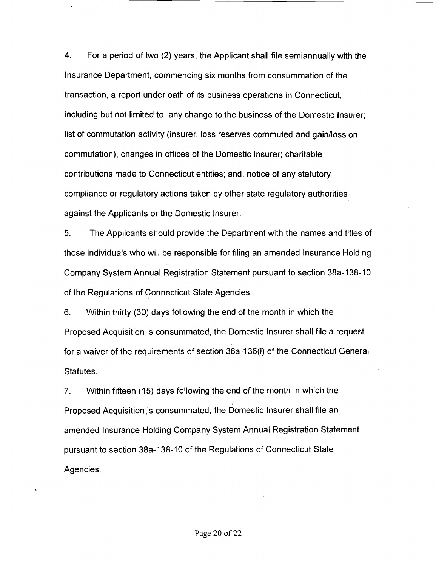**4.** For a period of two (2) years, the Applicant shall file semiannually with the lnsurance Department, commencing six months from consummation of the transaction, a report under oath of its business operations in Connecticut, including but not limited to, any change to the business of the Domestic Insurer; list of commutation activity (insurer, loss reserves commuted and gainlloss on commutation), changes in offices of the Domestic Insurer; charitable contributions made to Connecticut entities; and, notice of any statutory compliance or regulatory actions taken by other state regulatory authorities against the Applicants or the Domestic Insurer.

5. The Applicants should provide the Department with the names and titles of those individuals who will be responsible for filing an amended lnsurance Holding Company System Annual Registration Statement pursuant to section 38a-138-10 of the Regulations of Connecticut State Agencies.

6. Within thirty (30) days following the end of the month in which the Proposed Acquisition is consummated, the Domestic lnsurer shall file a request for a waiver of the requirements of section 38a-136(i) of the Connecticut General Statutes.

7. Within fifteen (15) days following the end of the month in which the Proposed Acquisition is consummated, the Domestic lnsurer shall file an amended lnsurance Holding Company System Annual Registration Statement pursuant to section 38a-138-10 of the Regulations of Connecticut State Agencies.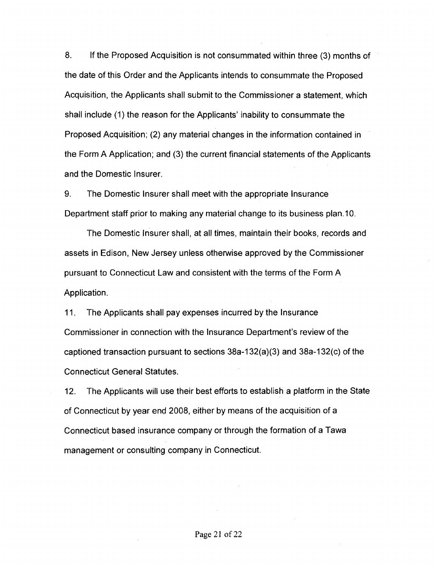8. If the Proposed Acquisition is not consummated within three (3) months of the date of this Order and the Applicants intends to consummate the Proposed Acquisition, the Applicants shall submit to the Commissioner a statement, which shall include (1) the reason for the Applicants' inability to consummate the Proposed Acquisition; (2) any material changes in the information contained in the Form A Application; and (3) the current financial statements of the Applicants and the Domestic Insurer.

9. The Domestic lnsurer shall meet with the appropriate lnsurance Department staff prior to making any material change to its business plan.10.

The Domestic lnsurer shall, at all times, maintain their books, records and assets in Edison, New Jersey unless otherwise approved by the Commissioner pursuant to Connecticut Law and consistent with the terms of the Form A Application.

11. The Applicants shall pay expenses incurred by the lnsurance Commissioner in connection with the lnsurance Department's review of the captioned transaction pursuant to sections 38a-132(a)(3) and 38a-132(c) of the Connecticut General Statutes.

12. The Applicants will use their best efforts to establish a platform in the State of Connecticut by year end 2008, either by means of the acquisition of a Connecticut based insurance company or through the formation of a Tawa management or consulting company in Connecticut.